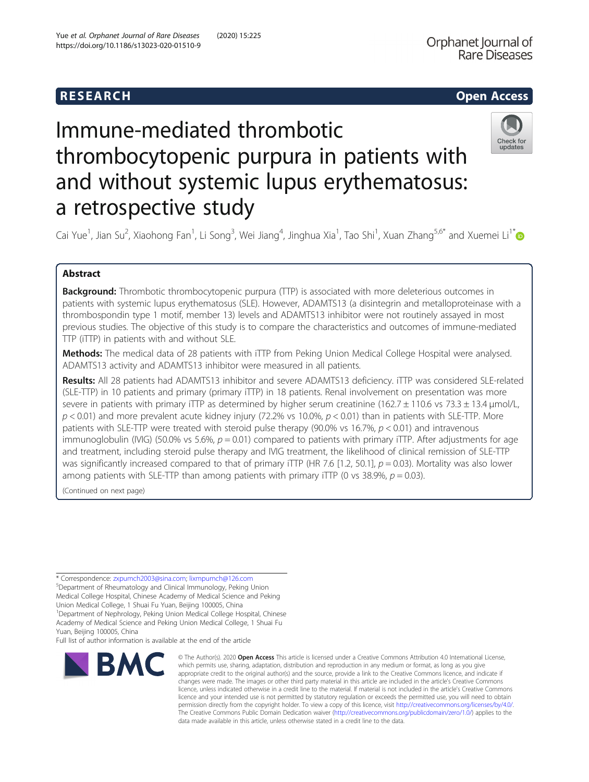# **RESEARCH CHEAR CHEAR CHEAR CHEAR CHEAR CHEAR CHEAR CHEAR CHEAR CHEAR CHEAR CHEAR CHEAR CHEAR CHEAR CHEAR CHEAR**

# Immune-mediated thrombotic thrombocytopenic purpura in patients with and without systemic lupus erythematosus: a retrospective study



Cai Yue<sup>1</sup>, Jian Su<sup>2</sup>, Xiaohong Fan<sup>1</sup>, Li Song<sup>3</sup>, Wei Jiang<sup>4</sup>, Jinghua Xia<sup>1</sup>, Tao Shi<sup>1</sup>, Xuan Zhang<sup>5,6\*</sup> and Xuemei Li<sup>1\*</sup>

# Abstract

**Background:** Thrombotic thrombocytopenic purpura (TTP) is associated with more deleterious outcomes in patients with systemic lupus erythematosus (SLE). However, ADAMTS13 (a disintegrin and metalloproteinase with a thrombospondin type 1 motif, member 13) levels and ADAMTS13 inhibitor were not routinely assayed in most previous studies. The objective of this study is to compare the characteristics and outcomes of immune-mediated TTP (iTTP) in patients with and without SLE.

**Methods:** The medical data of 28 patients with iTTP from Peking Union Medical College Hospital were analysed. ADAMTS13 activity and ADAMTS13 inhibitor were measured in all patients.

Results: All 28 patients had ADAMTS13 inhibitor and severe ADAMTS13 deficiency. iTTP was considered SLE-related (SLE-TTP) in 10 patients and primary (primary iTTP) in 18 patients. Renal involvement on presentation was more severe in patients with primary iTTP as determined by higher serum creatinine (162.7  $\pm$  110.6 vs 73.3  $\pm$  13.4 µmol/L,  $p < 0.01$ ) and more prevalent acute kidney injury (72.2% vs 10.0%,  $p < 0.01$ ) than in patients with SLE-TTP. More patients with SLE-TTP were treated with steroid pulse therapy (90.0% vs 16.7%,  $p < 0.01$ ) and intravenous immunoglobulin (IVIG) (50.0% vs 5.6%,  $p = 0.01$ ) compared to patients with primary iTTP. After adjustments for age and treatment, including steroid pulse therapy and IVIG treatment, the likelihood of clinical remission of SLE-TTP was significantly increased compared to that of primary iTTP (HR 7.6 [1.2, 50.1],  $p = 0.03$ ). Mortality was also lower among patients with SLE-TTP than among patients with primary iTTP (0 vs 38.9%,  $p = 0.03$ ).

(Continued on next page)

\* Correspondence: [zxpumch2003@sina.com](mailto:zxpumch2003@sina.com); [lixmpumch@126.com](mailto:lixmpumch@126.com) <sup>5</sup>

Department of Rheumatology and Clinical Immunology, Peking Union

Medical College Hospital, Chinese Academy of Medical Science and Peking

Union Medical College, 1 Shuai Fu Yuan, Beijing 100005, China <sup>1</sup>Department of Nephrology, Peking Union Medical College Hospital, Chinese

Academy of Medical Science and Peking Union Medical College, 1 Shuai Fu

Yuan, Beijing 100005, China

Full list of author information is available at the end of the article



<sup>©</sup> The Author(s), 2020 **Open Access** This article is licensed under a Creative Commons Attribution 4.0 International License, which permits use, sharing, adaptation, distribution and reproduction in any medium or format, as long as you give appropriate credit to the original author(s) and the source, provide a link to the Creative Commons licence, and indicate if changes were made. The images or other third party material in this article are included in the article's Creative Commons licence, unless indicated otherwise in a credit line to the material. If material is not included in the article's Creative Commons licence and your intended use is not permitted by statutory regulation or exceeds the permitted use, you will need to obtain permission directly from the copyright holder. To view a copy of this licence, visit [http://creativecommons.org/licenses/by/4.0/.](http://creativecommons.org/licenses/by/4.0/) The Creative Commons Public Domain Dedication waiver [\(http://creativecommons.org/publicdomain/zero/1.0/](http://creativecommons.org/publicdomain/zero/1.0/)) applies to the data made available in this article, unless otherwise stated in a credit line to the data.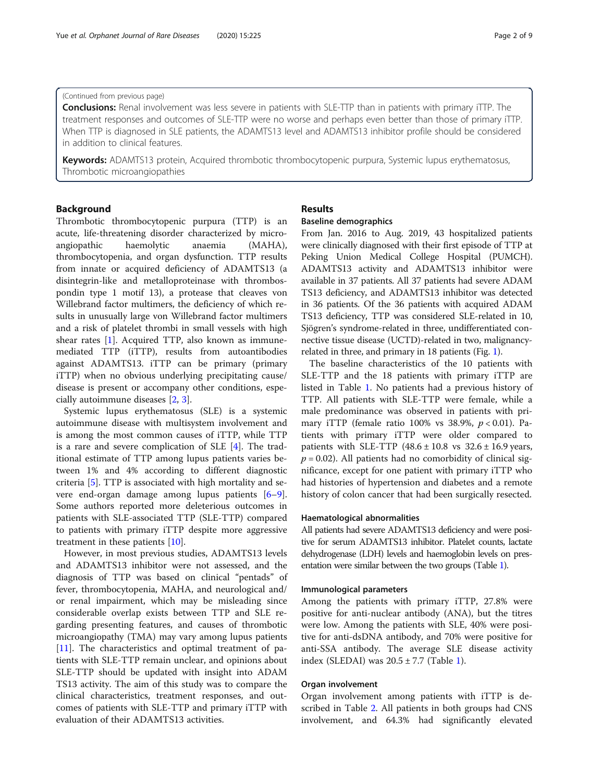# (Continued from previous page)

Conclusions: Renal involvement was less severe in patients with SLE-TTP than in patients with primary iTTP. The treatment responses and outcomes of SLE-TTP were no worse and perhaps even better than those of primary iTTP. When TTP is diagnosed in SLE patients, the ADAMTS13 level and ADAMTS13 inhibitor profile should be considered in addition to clinical features.

Keywords: ADAMTS13 protein, Acquired thrombotic thrombocytopenic purpura, Systemic lupus erythematosus, Thrombotic microangiopathies

# Background

Thrombotic thrombocytopenic purpura (TTP) is an acute, life-threatening disorder characterized by microangiopathic haemolytic anaemia (MAHA), thrombocytopenia, and organ dysfunction. TTP results from innate or acquired deficiency of ADAMTS13 (a disintegrin-like and metalloproteinase with thrombospondin type 1 motif 13), a protease that cleaves von Willebrand factor multimers, the deficiency of which results in unusually large von Willebrand factor multimers and a risk of platelet thrombi in small vessels with high shear rates [[1\]](#page-8-0). Acquired TTP, also known as immunemediated TTP (iTTP), results from autoantibodies against ADAMTS13. iTTP can be primary (primary iTTP) when no obvious underlying precipitating cause/ disease is present or accompany other conditions, especially autoimmune diseases [[2,](#page-8-0) [3\]](#page-8-0).

Systemic lupus erythematosus (SLE) is a systemic autoimmune disease with multisystem involvement and is among the most common causes of iTTP, while TTP is a rare and severe complication of SLE [[4\]](#page-8-0). The traditional estimate of TTP among lupus patients varies between 1% and 4% according to different diagnostic criteria [[5](#page-8-0)]. TTP is associated with high mortality and severe end-organ damage among lupus patients [\[6](#page-8-0)–[9](#page-8-0)]. Some authors reported more deleterious outcomes in patients with SLE-associated TTP (SLE-TTP) compared to patients with primary iTTP despite more aggressive treatment in these patients [[10\]](#page-8-0).

However, in most previous studies, ADAMTS13 levels and ADAMTS13 inhibitor were not assessed, and the diagnosis of TTP was based on clinical "pentads" of fever, thrombocytopenia, MAHA, and neurological and/ or renal impairment, which may be misleading since considerable overlap exists between TTP and SLE regarding presenting features, and causes of thrombotic microangiopathy (TMA) may vary among lupus patients [[11\]](#page-8-0). The characteristics and optimal treatment of patients with SLE-TTP remain unclear, and opinions about SLE-TTP should be updated with insight into ADAM TS13 activity. The aim of this study was to compare the clinical characteristics, treatment responses, and outcomes of patients with SLE-TTP and primary iTTP with evaluation of their ADAMTS13 activities.

# Results

# Baseline demographics

From Jan. 2016 to Aug. 2019, 43 hospitalized patients were clinically diagnosed with their first episode of TTP at Peking Union Medical College Hospital (PUMCH). ADAMTS13 activity and ADAMTS13 inhibitor were available in 37 patients. All 37 patients had severe ADAM TS13 deficiency, and ADAMTS13 inhibitor was detected in 36 patients. Of the 36 patients with acquired ADAM TS13 deficiency, TTP was considered SLE-related in 10, Sjögren's syndrome-related in three, undifferentiated connective tissue disease (UCTD)-related in two, malignancyrelated in three, and primary in 18 patients (Fig. [1](#page-2-0)).

The baseline characteristics of the 10 patients with SLE-TTP and the 18 patients with primary iTTP are listed in Table [1](#page-2-0). No patients had a previous history of TTP. All patients with SLE-TTP were female, while a male predominance was observed in patients with primary iTTP (female ratio 100% vs 38.9%,  $p < 0.01$ ). Patients with primary iTTP were older compared to patients with SLE-TTP  $(48.6 \pm 10.8 \text{ vs } 32.6 \pm 16.9 \text{ years})$  $p = 0.02$ ). All patients had no comorbidity of clinical significance, except for one patient with primary iTTP who had histories of hypertension and diabetes and a remote history of colon cancer that had been surgically resected.

#### Haematological abnormalities

All patients had severe ADAMTS13 deficiency and were positive for serum ADAMTS13 inhibitor. Platelet counts, lactate dehydrogenase (LDH) levels and haemoglobin levels on presentation were similar between the two groups (Table [1\)](#page-2-0).

### Immunological parameters

Among the patients with primary iTTP, 27.8% were positive for anti-nuclear antibody (ANA), but the titres were low. Among the patients with SLE, 40% were positive for anti-dsDNA antibody, and 70% were positive for anti-SSA antibody. The average SLE disease activity index (SLEDAI) was  $20.5 \pm 7.7$  (Table [1](#page-2-0)).

# Organ involvement

Organ involvement among patients with iTTP is described in Table [2.](#page-3-0) All patients in both groups had CNS involvement, and 64.3% had significantly elevated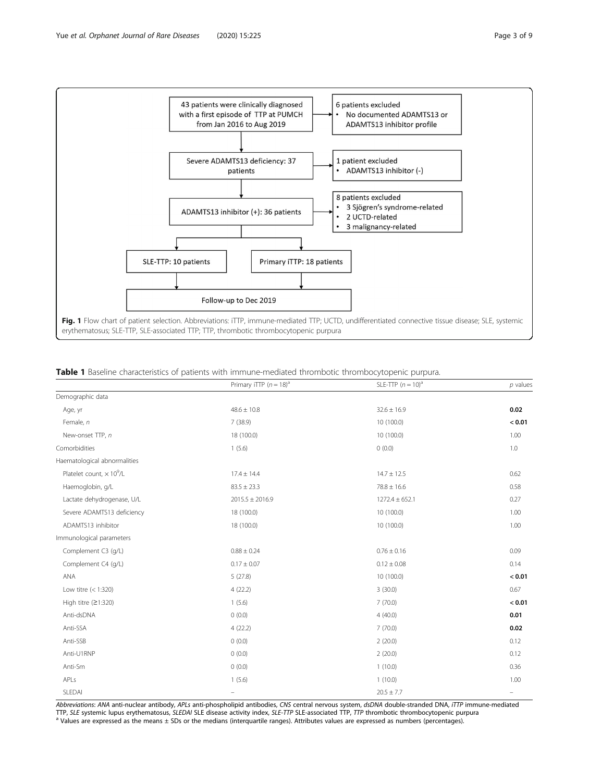<span id="page-2-0"></span>

|                                             | Primary iTTP $(n = 18)^a$ | SLE-TTP $(n = 10)^a$ | $p$ values |
|---------------------------------------------|---------------------------|----------------------|------------|
| Demographic data                            |                           |                      |            |
| Age, yr                                     | $48.6 \pm 10.8$           | $32.6 \pm 16.9$      | 0.02       |
| Female, n                                   | 7(38.9)                   | 10 (100.0)           | < 0.01     |
| New-onset TTP, n                            | 18 (100.0)                | 10 (100.0)           | 1.00       |
| Comorbidities                               | 1(5.6)                    | 0(0.0)               | 1.0        |
| Haematological abnormalities                |                           |                      |            |
| Platelet count, $\times$ 10 <sup>9</sup> /L | $17.4 \pm 14.4$           | $14.7 \pm 12.5$      | 0.62       |
| Haemoglobin, g/L                            | $83.5 \pm 23.3$           | $78.8 \pm 16.6$      | 0.58       |
| Lactate dehydrogenase, U/L                  | $2015.5 \pm 2016.9$       | $1272.4 \pm 652.1$   | 0.27       |
| Severe ADAMTS13 deficiency                  | 18 (100.0)                | 10 (100.0)           | 1.00       |
| ADAMTS13 inhibitor                          | 18 (100.0)                | 10 (100.0)           | 1.00       |
| Immunological parameters                    |                           |                      |            |
| Complement C3 (q/L)                         | $0.88 \pm 0.24$           | $0.76 \pm 0.16$      | 0.09       |
| Complement C4 (q/L)                         | $0.17 \pm 0.07$           | $0.12 \pm 0.08$      | 0.14       |
| ANA                                         | 5(27.8)                   | 10 (100.0)           | < 0.01     |
| Low titre $(< 1:320)$                       | 4(22.2)                   | 3(30.0)              | 0.67       |
| High titre $(21:320)$                       | 1(5.6)                    | 7(70.0)              | < 0.01     |
| Anti-dsDNA                                  | 0(0.0)                    | 4(40.0)              | 0.01       |
| Anti-SSA                                    | 4(22.2)                   | 7(70.0)              | 0.02       |
| Anti-SSB                                    | 0(0.0)                    | 2(20.0)              | 0.12       |
| Anti-U1RNP                                  | 0(0.0)                    | 2(20.0)              | 0.12       |
| Anti-Sm                                     | 0(0.0)                    | 1(10.0)              | 0.36       |
| APLs                                        | 1(5.6)                    | 1(10.0)              | 1.00       |
| SLEDAI                                      | $\qquad \qquad -$         | $20.5 \pm 7.7$       |            |

Abbreviations: ANA anti-nuclear antibody, APLs anti-phospholipid antibodies, CNS central nervous system, dsDNA double-stranded DNA, iTTP immune-mediated TTP, SLE systemic lupus erythematosus, SLEDAI SLE disease activity index, SLE-TTP SLE-associated TTP, TTP thrombotic thrombocytopenic purpura<br>a Values are expressed as the means ± SDs or the medians (interquartile ranges).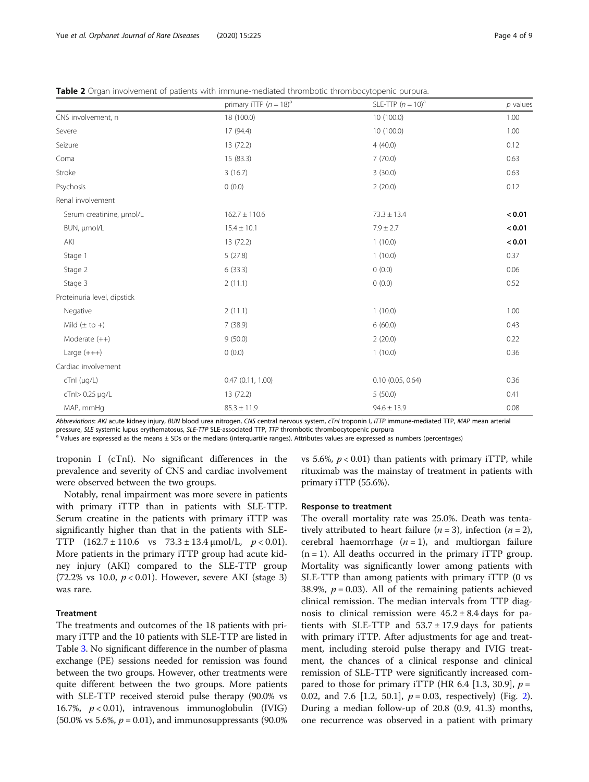<span id="page-3-0"></span>

| <b>Table 2</b> Organ involvement of patients with immune-mediated thrombotic thrombocytopenic purpura. |  |  |  |  |
|--------------------------------------------------------------------------------------------------------|--|--|--|--|
|--------------------------------------------------------------------------------------------------------|--|--|--|--|

|                             | primary iTTP $(n = 18)^a$ | SLE-TTP $(n = 10)^{a}$ | $p$ values |  |
|-----------------------------|---------------------------|------------------------|------------|--|
| CNS involvement, n          | 18 (100.0)                | 10 (100.0)             | 1.00       |  |
| Severe                      | 17 (94.4)                 | 10 (100.0)             | 1.00       |  |
| Seizure                     | 13 (72.2)                 | 4(40.0)                | 0.12       |  |
| Coma                        | 15 (83.3)                 | 7(70.0)                | 0.63       |  |
| Stroke                      | 3(16.7)                   | 3(30.0)                | 0.63       |  |
| Psychosis                   | 0(0.0)                    | 2(20.0)                | 0.12       |  |
| Renal involvement           |                           |                        |            |  |
| Serum creatinine, µmol/L    | $162.7 \pm 110.6$         | $73.3 \pm 13.4$        | < 0.01     |  |
| BUN, µmol/L                 | $15.4 \pm 10.1$           | $7.9 \pm 2.7$          | < 0.01     |  |
| AKI                         | 13 (72.2)                 | 1(10.0)                | < 0.01     |  |
| Stage 1                     | 5(27.8)                   | 1(10.0)                | 0.37       |  |
| Stage 2                     | 6(33.3)                   | 0(0.0)                 | 0.06       |  |
| Stage 3                     | 2(11.1)                   | 0(0.0)                 | 0.52       |  |
| Proteinuria level, dipstick |                           |                        |            |  |
| Negative                    | 2(11.1)                   | 1(10.0)                | 1.00       |  |
| Mild $(\pm$ to +)           | 7(38.9)                   | 6(60.0)                | 0.43       |  |
| Moderate $(++)$             | 9(50.0)                   | 2(20.0)                | 0.22       |  |
| Large $(+++)$               | 0(0.0)                    | 1(10.0)                | 0.36       |  |
| Cardiac involvement         |                           |                        |            |  |
| cTnl (µg/L)                 | 0.47(0.11, 1.00)          | $0.10$ (0.05, 0.64)    | 0.36       |  |
| cTnl> 0.25 µg/L             | 13 (72.2)                 | 5(50.0)                | 0.41       |  |
| MAP, mmHg                   | $85.3 \pm 11.9$           | $94.6 \pm 13.9$        | 0.08       |  |

Abbreviations: AKI acute kidney injury, BUN blood urea nitrogen, CNS central nervous system, cTnI troponin I, iTTP immune-mediated TTP, MAP mean arterial pressure, SLE systemic lupus erythematosus, SLE-TTP SLE-associated T

<sup>a</sup> Values are expressed as the means ± SDs or the medians (interquartile ranges). Attributes values are expressed as numbers (percentages)

troponin I (cTnI). No significant differences in the prevalence and severity of CNS and cardiac involvement were observed between the two groups.

Notably, renal impairment was more severe in patients

vs 5.6%,  $p < 0.01$ ) than patients with primary iTTP, while rituximab was the mainstay of treatment in patients with primary iTTP (55.6%).

Response to treatment

with primary iTTP than in patients with SLE-TTP. Serum creatine in the patients with primary iTTP was significantly higher than that in the patients with SLE-TTP  $(162.7 \pm 110.6 \text{ vs } 73.3 \pm 13.4 \text{ µmol/L}, p < 0.01)$ . More patients in the primary iTTP group had acute kidney injury (AKI) compared to the SLE-TTP group (72.2% vs 10.0,  $p < 0.01$ ). However, severe AKI (stage 3) was rare.

# **Treatment**

The treatments and outcomes of the 18 patients with primary iTTP and the 10 patients with SLE-TTP are listed in Table [3.](#page-4-0) No significant difference in the number of plasma exchange (PE) sessions needed for remission was found between the two groups. However, other treatments were quite different between the two groups. More patients with SLE-TTP received steroid pulse therapy (90.0% vs 16.7%,  $p < 0.01$ ), intravenous immunoglobulin (IVIG)  $(50.0\% \text{ vs } 5.6\%, p = 0.01)$ , and immunosuppressants  $(90.0\%$ 

The overall mortality rate was 25.0%. Death was tentatively attributed to heart failure ( $n = 3$ ), infection ( $n = 2$ ), cerebral haemorrhage  $(n = 1)$ , and multiorgan failure  $(n = 1)$ . All deaths occurred in the primary iTTP group. Mortality was significantly lower among patients with SLE-TTP than among patients with primary iTTP (0 vs 38.9%,  $p = 0.03$ ). All of the remaining patients achieved clinical remission. The median intervals from TTP diagnosis to clinical remission were  $45.2 \pm 8.4$  days for patients with SLE-TTP and  $53.7 \pm 17.9$  days for patients with primary iTTP. After adjustments for age and treatment, including steroid pulse therapy and IVIG treatment, the chances of a clinical response and clinical remission of SLE-TTP were significantly increased compared to those for primary iTTP (HR 6.4 [1.3, 30.9],  $p =$ 0.0[2](#page-5-0), and 7.6 [1.2, 50.1],  $p = 0.03$ , respectively) (Fig. 2). During a median follow-up of 20.8 (0.9, 41.3) months, one recurrence was observed in a patient with primary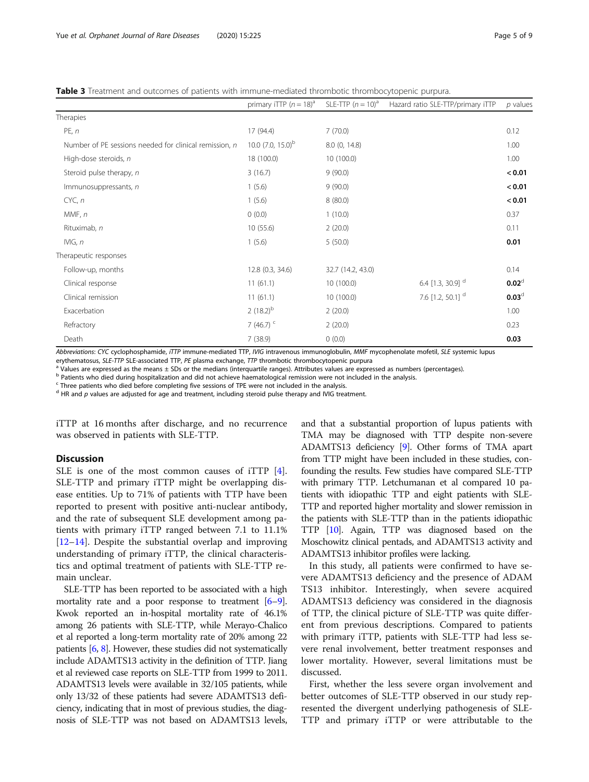<span id="page-4-0"></span>

|  |  | Table 3 Treatment and outcomes of patients with immune-mediated thrombotic thrombocytopenic purpura. |
|--|--|------------------------------------------------------------------------------------------------------|
|--|--|------------------------------------------------------------------------------------------------------|

|                                                        | primary iTTP $(n = 18)^a$ | SLE-TTP $(n = 10)^a$ | Hazard ratio SLE-TTP/primary iTTP | $p$ values        |
|--------------------------------------------------------|---------------------------|----------------------|-----------------------------------|-------------------|
| Therapies                                              |                           |                      |                                   |                   |
| PE, n                                                  | 17 (94.4)                 | 7(70.0)              |                                   | 0.12              |
| Number of PE sessions needed for clinical remission, n | 10.0 $(7.0, 15.0)^b$      | 8.0 (0, 14.8)        |                                   | 1.00              |
| High-dose steroids, n                                  | 18 (100.0)                | 10 (100.0)           |                                   | 1.00              |
| Steroid pulse therapy, n                               | 3(16.7)                   | 9(90.0)              |                                   | < 0.01            |
| Immunosuppressants, n                                  | 1(5.6)                    | 9(90.0)              |                                   | < 0.01            |
| CYC, n                                                 | 1(5.6)                    | 8(80.0)              |                                   | < 0.01            |
| MMF, n                                                 | 0(0.0)                    | 1(10.0)              |                                   | 0.37              |
| Rituximab, n                                           | 10(55.6)                  | 2(20.0)              |                                   | 0.11              |
| IVIG, n                                                | 1(5.6)                    | 5(50.0)              |                                   | 0.01              |
| Therapeutic responses                                  |                           |                      |                                   |                   |
| Follow-up, months                                      | 12.8 (0.3, 34.6)          | 32.7 (14.2, 43.0)    |                                   | 0.14              |
| Clinical response                                      | 11(61.1)                  | 10 (100.0)           | 6.4 [1.3, 30.9] <sup>d</sup>      | $0.02^d$          |
| Clinical remission                                     | 11(61.1)                  | 10 (100.0)           | 7.6 [1.2, 50.1] <sup>d</sup>      | 0.03 <sup>d</sup> |
| Exacerbation                                           | 2 $(18.2)^{b}$            | 2(20.0)              |                                   | 1.00              |
| Refractory                                             | 7 $(46.7)$ <sup>c</sup>   | 2(20.0)              |                                   | 0.23              |
| Death                                                  | 7(38.9)                   | 0(0.0)               |                                   | 0.03              |

Abbreviations: CYC cyclophosphamide, iTTP immune-mediated TTP, IVIG intravenous immunoglobulin, MMF mycophenolate mofetil, SLE systemic lupus erythematosus, SLE-TTP SLE-associated TTP, PE plasma exchange, TTP thrombotic th

Values are expressed as the means ± SDs or the medians (interquartile ranges). Attributes values are expressed as numbers (percentages).

<sup>b</sup> Patients who died during hospitalization and did not achieve haematological remission were not included in the analysis.

<sup>c</sup> Three patients who died before completing five sessions of TPE were not included in the analysis.

 $d$  HR and  $p$  values are adjusted for age and treatment, including steroid pulse therapy and IVIG treatment.

iTTP at 16 months after discharge, and no recurrence was observed in patients with SLE-TTP.

# **Discussion**

SLE is one of the most common causes of iTTP [\[4](#page-8-0)]. SLE-TTP and primary iTTP might be overlapping disease entities. Up to 71% of patients with TTP have been reported to present with positive anti-nuclear antibody, and the rate of subsequent SLE development among patients with primary iTTP ranged between 7.1 to 11.1% [[12](#page-8-0)–[14](#page-8-0)]. Despite the substantial overlap and improving understanding of primary iTTP, the clinical characteristics and optimal treatment of patients with SLE-TTP remain unclear.

SLE-TTP has been reported to be associated with a high mortality rate and a poor response to treatment  $[6-9]$  $[6-9]$  $[6-9]$  $[6-9]$ . Kwok reported an in-hospital mortality rate of 46.1% among 26 patients with SLE-TTP, while Merayo-Chalico et al reported a long-term mortality rate of 20% among 22 patients [\[6,](#page-8-0) [8\]](#page-8-0). However, these studies did not systematically include ADAMTS13 activity in the definition of TTP. Jiang et al reviewed case reports on SLE-TTP from 1999 to 2011. ADAMTS13 levels were available in 32/105 patients, while only 13/32 of these patients had severe ADAMTS13 deficiency, indicating that in most of previous studies, the diagnosis of SLE-TTP was not based on ADAMTS13 levels,

and that a substantial proportion of lupus patients with TMA may be diagnosed with TTP despite non-severe ADAMTS13 deficiency [\[9\]](#page-8-0). Other forms of TMA apart from TTP might have been included in these studies, confounding the results. Few studies have compared SLE-TTP with primary TTP. Letchumanan et al compared 10 patients with idiopathic TTP and eight patients with SLE-TTP and reported higher mortality and slower remission in the patients with SLE-TTP than in the patients idiopathic TTP [\[10](#page-8-0)]. Again, TTP was diagnosed based on the Moschowitz clinical pentads, and ADAMTS13 activity and ADAMTS13 inhibitor profiles were lacking.

In this study, all patients were confirmed to have severe ADAMTS13 deficiency and the presence of ADAM TS13 inhibitor. Interestingly, when severe acquired ADAMTS13 deficiency was considered in the diagnosis of TTP, the clinical picture of SLE-TTP was quite different from previous descriptions. Compared to patients with primary iTTP, patients with SLE-TTP had less severe renal involvement, better treatment responses and lower mortality. However, several limitations must be discussed.

First, whether the less severe organ involvement and better outcomes of SLE-TTP observed in our study represented the divergent underlying pathogenesis of SLE-TTP and primary iTTP or were attributable to the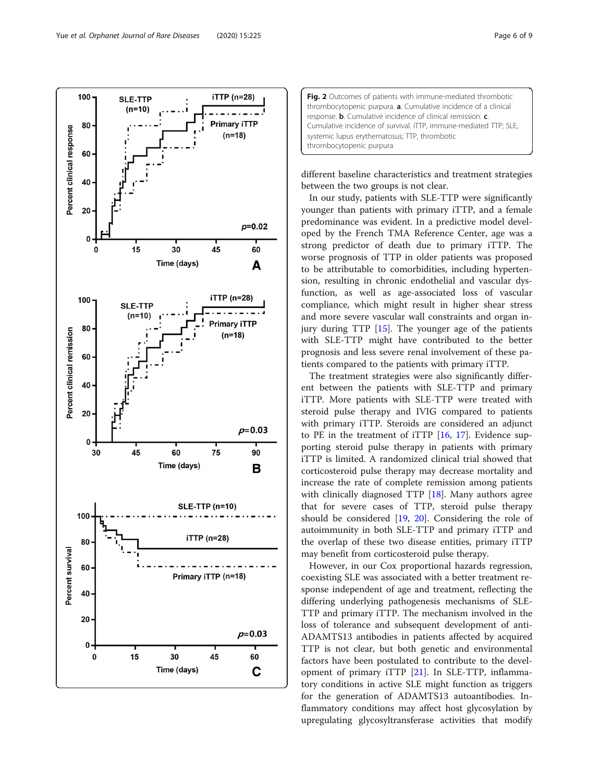<span id="page-5-0"></span>

| Fig. 2 Outcomes of patients with immune-mediated thrombotic       |
|-------------------------------------------------------------------|
| thrombocytopenic purpura. a. Cumulative incidence of a clinical   |
| response. b. Cumulative incidence of clinical remission. c.       |
| Cumulative incidence of survival. iTTP, immune-mediated TTP; SLE, |
| systemic lupus erythematosus; TTP, thrombotic                     |
| thrombocytopenic purpura                                          |

different baseline characteristics and treatment strategies between the two groups is not clear.

In our study, patients with SLE-TTP were significantly younger than patients with primary iTTP, and a female predominance was evident. In a predictive model developed by the French TMA Reference Center, age was a strong predictor of death due to primary iTTP. The worse prognosis of TTP in older patients was proposed to be attributable to comorbidities, including hypertension, resulting in chronic endothelial and vascular dysfunction, as well as age-associated loss of vascular compliance, which might result in higher shear stress and more severe vascular wall constraints and organ injury during TTP [\[15\]](#page-8-0). The younger age of the patients with SLE-TTP might have contributed to the better prognosis and less severe renal involvement of these patients compared to the patients with primary iTTP.

The treatment strategies were also significantly different between the patients with SLE-TTP and primary iTTP. More patients with SLE-TTP were treated with steroid pulse therapy and IVIG compared to patients with primary iTTP. Steroids are considered an adjunct to PE in the treatment of iTTP [\[16](#page-8-0), [17\]](#page-8-0). Evidence supporting steroid pulse therapy in patients with primary iTTP is limited. A randomized clinical trial showed that corticosteroid pulse therapy may decrease mortality and increase the rate of complete remission among patients with clinically diagnosed TTP [\[18](#page-8-0)]. Many authors agree that for severe cases of TTP, steroid pulse therapy should be considered [[19](#page-8-0), [20\]](#page-8-0). Considering the role of autoimmunity in both SLE-TTP and primary iTTP and the overlap of these two disease entities, primary iTTP may benefit from corticosteroid pulse therapy.

However, in our Cox proportional hazards regression, coexisting SLE was associated with a better treatment response independent of age and treatment, reflecting the differing underlying pathogenesis mechanisms of SLE-TTP and primary iTTP. The mechanism involved in the loss of tolerance and subsequent development of anti-ADAMTS13 antibodies in patients affected by acquired TTP is not clear, but both genetic and environmental factors have been postulated to contribute to the development of primary iTTP [[21](#page-8-0)]. In SLE-TTP, inflammatory conditions in active SLE might function as triggers for the generation of ADAMTS13 autoantibodies. Inflammatory conditions may affect host glycosylation by upregulating glycosyltransferase activities that modify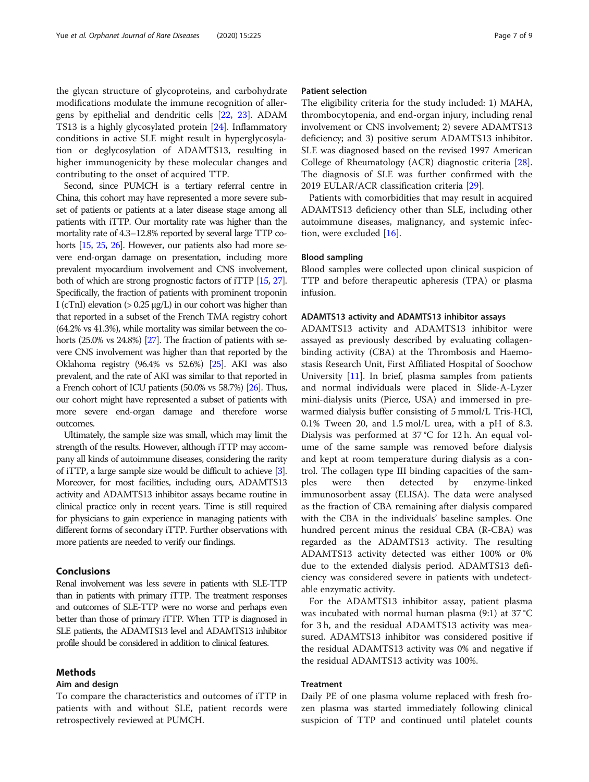the glycan structure of glycoproteins, and carbohydrate modifications modulate the immune recognition of allergens by epithelial and dendritic cells [\[22](#page-8-0), [23](#page-8-0)]. ADAM TS13 is a highly glycosylated protein [\[24](#page-8-0)]. Inflammatory conditions in active SLE might result in hyperglycosylation or deglycosylation of ADAMTS13, resulting in higher immunogenicity by these molecular changes and contributing to the onset of acquired TTP.

Second, since PUMCH is a tertiary referral centre in China, this cohort may have represented a more severe subset of patients or patients at a later disease stage among all patients with iTTP. Our mortality rate was higher than the mortality rate of 4.3–12.8% reported by several large TTP cohorts [\[15](#page-8-0), [25,](#page-8-0) [26](#page-8-0)]. However, our patients also had more severe end-organ damage on presentation, including more prevalent myocardium involvement and CNS involvement, both of which are strong prognostic factors of iTTP [\[15,](#page-8-0) [27\]](#page-8-0). Specifically, the fraction of patients with prominent troponin I (cTnI) elevation  $($  > 0.25 μg/L) in our cohort was higher than that reported in a subset of the French TMA registry cohort (64.2% vs 41.3%), while mortality was similar between the cohorts (25.0% vs 24.8%) [\[27](#page-8-0)]. The fraction of patients with severe CNS involvement was higher than that reported by the Oklahoma registry (96.4% vs 52.6%) [\[25\]](#page-8-0). AKI was also prevalent, and the rate of AKI was similar to that reported in a French cohort of ICU patients (50.0% vs 58.7%) [\[26](#page-8-0)]. Thus, our cohort might have represented a subset of patients with more severe end-organ damage and therefore worse outcomes.

Ultimately, the sample size was small, which may limit the strength of the results. However, although iTTP may accompany all kinds of autoimmune diseases, considering the rarity of iTTP, a large sample size would be difficult to achieve [\[3\]](#page-8-0). Moreover, for most facilities, including ours, ADAMTS13 activity and ADAMTS13 inhibitor assays became routine in clinical practice only in recent years. Time is still required for physicians to gain experience in managing patients with different forms of secondary iTTP. Further observations with more patients are needed to verify our findings.

# Conclusions

Renal involvement was less severe in patients with SLE-TTP than in patients with primary iTTP. The treatment responses and outcomes of SLE-TTP were no worse and perhaps even better than those of primary iTTP. When TTP is diagnosed in SLE patients, the ADAMTS13 level and ADAMTS13 inhibitor profile should be considered in addition to clinical features.

# Methods

# Aim and design

To compare the characteristics and outcomes of iTTP in patients with and without SLE, patient records were retrospectively reviewed at PUMCH.

# Patient selection

The eligibility criteria for the study included: 1) MAHA, thrombocytopenia, and end-organ injury, including renal involvement or CNS involvement; 2) severe ADAMTS13 deficiency; and 3) positive serum ADAMTS13 inhibitor. SLE was diagnosed based on the revised 1997 American College of Rheumatology (ACR) diagnostic criteria [\[28](#page-8-0)]. The diagnosis of SLE was further confirmed with the 2019 EULAR/ACR classification criteria [\[29](#page-8-0)].

Patients with comorbidities that may result in acquired ADAMTS13 deficiency other than SLE, including other autoimmune diseases, malignancy, and systemic infection, were excluded [[16\]](#page-8-0).

# Blood sampling

Blood samples were collected upon clinical suspicion of TTP and before therapeutic apheresis (TPA) or plasma infusion.

### ADAMTS13 activity and ADAMTS13 inhibitor assays

ADAMTS13 activity and ADAMTS13 inhibitor were assayed as previously described by evaluating collagenbinding activity (CBA) at the Thrombosis and Haemostasis Research Unit, First Affiliated Hospital of Soochow University [\[11\]](#page-8-0). In brief, plasma samples from patients and normal individuals were placed in Slide-A-Lyzer mini-dialysis units (Pierce, USA) and immersed in prewarmed dialysis buffer consisting of 5 mmol/L Tris-HCl, 0.1% Tween 20, and 1.5 mol/L urea, with a pH of 8.3. Dialysis was performed at 37 °C for 12 h. An equal volume of the same sample was removed before dialysis and kept at room temperature during dialysis as a control. The collagen type III binding capacities of the samples were then detected by enzyme-linked immunosorbent assay (ELISA). The data were analysed as the fraction of CBA remaining after dialysis compared with the CBA in the individuals' baseline samples. One hundred percent minus the residual CBA (R-CBA) was regarded as the ADAMTS13 activity. The resulting ADAMTS13 activity detected was either 100% or 0% due to the extended dialysis period. ADAMTS13 deficiency was considered severe in patients with undetectable enzymatic activity.

For the ADAMTS13 inhibitor assay, patient plasma was incubated with normal human plasma (9:1) at 37 °C for 3 h, and the residual ADAMTS13 activity was measured. ADAMTS13 inhibitor was considered positive if the residual ADAMTS13 activity was 0% and negative if the residual ADAMTS13 activity was 100%.

# Treatment

Daily PE of one plasma volume replaced with fresh frozen plasma was started immediately following clinical suspicion of TTP and continued until platelet counts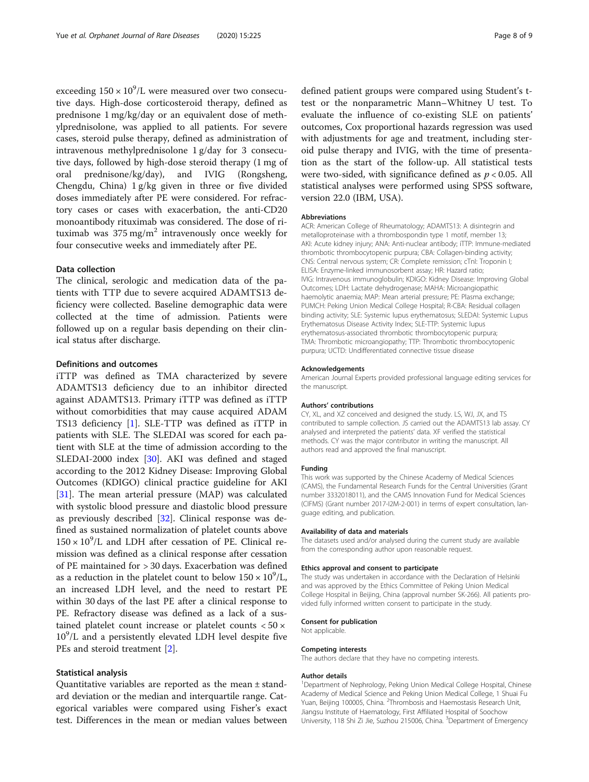exceeding  $150 \times 10^9$ /L were measured over two consecutive days. High-dose corticosteroid therapy, defined as prednisone 1 mg/kg/day or an equivalent dose of methylprednisolone, was applied to all patients. For severe cases, steroid pulse therapy, defined as administration of intravenous methylprednisolone 1 g/day for 3 consecutive days, followed by high-dose steroid therapy (1 mg of oral prednisone/kg/day), and IVIG (Rongsheng, Chengdu, China) 1 g/kg given in three or five divided doses immediately after PE were considered. For refractory cases or cases with exacerbation, the anti-CD20 monoantibody rituximab was considered. The dose of rituximab was  $375 \text{ mg/m}^2$  intravenously once weekly for four consecutive weeks and immediately after PE.

# Data collection

The clinical, serologic and medication data of the patients with TTP due to severe acquired ADAMTS13 deficiency were collected. Baseline demographic data were collected at the time of admission. Patients were followed up on a regular basis depending on their clinical status after discharge.

# Definitions and outcomes

iTTP was defined as TMA characterized by severe ADAMTS13 deficiency due to an inhibitor directed against ADAMTS13. Primary iTTP was defined as iTTP without comorbidities that may cause acquired ADAM TS13 deficiency [\[1](#page-8-0)]. SLE-TTP was defined as iTTP in patients with SLE. The SLEDAI was scored for each patient with SLE at the time of admission according to the SLEDAI-2000 index [[30](#page-8-0)]. AKI was defined and staged according to the 2012 Kidney Disease: Improving Global Outcomes (KDIGO) clinical practice guideline for AKI [[31\]](#page-8-0). The mean arterial pressure (MAP) was calculated with systolic blood pressure and diastolic blood pressure as previously described [\[32\]](#page-8-0). Clinical response was defined as sustained normalization of platelet counts above  $150 \times 10^9$ /L and LDH after cessation of PE. Clinical remission was defined as a clinical response after cessation of PE maintained for > 30 days. Exacerbation was defined as a reduction in the platelet count to below  $150 \times 10^9$ /L, an increased LDH level, and the need to restart PE within 30 days of the last PE after a clinical response to PE. Refractory disease was defined as a lack of a sustained platelet count increase or platelet counts  $< 50 \times$ 10<sup>9</sup>/L and a persistently elevated LDH level despite five PEs and steroid treatment [\[2](#page-8-0)].

# Statistical analysis

Quantitative variables are reported as the mean ± standard deviation or the median and interquartile range. Categorical variables were compared using Fisher's exact test. Differences in the mean or median values between

defined patient groups were compared using Student's ttest or the nonparametric Mann–Whitney U test. To evaluate the influence of co-existing SLE on patients' outcomes, Cox proportional hazards regression was used with adjustments for age and treatment, including steroid pulse therapy and IVIG, with the time of presentation as the start of the follow-up. All statistical tests were two-sided, with significance defined as  $p < 0.05$ . All statistical analyses were performed using SPSS software, version 22.0 (IBM, USA).

#### Abbreviations

ACR: American College of Rheumatology; ADAMTS13: A disintegrin and metalloproteinase with a thrombospondin type 1 motif, member 13; AKI: Acute kidney injury; ANA: Anti-nuclear antibody; iTTP: Immune-mediated thrombotic thrombocytopenic purpura; CBA: Collagen-binding activity; CNS: Central nervous system; CR: Complete remission; cTnI: Troponin I; ELISA: Enzyme-linked immunosorbent assay; HR: Hazard ratio; IVIG: Intravenous immunoglobulin; KDIGO: Kidney Disease: Improving Global Outcomes; LDH: Lactate dehydrogenase; MAHA: Microangiopathic haemolytic anaemia; MAP: Mean arterial pressure; PE: Plasma exchange; PUMCH: Peking Union Medical College Hospital; R-CBA: Residual collagen binding activity; SLE: Systemic lupus erythematosus; SLEDAI: Systemic Lupus Erythematosus Disease Activity Index; SLE-TTP: Systemic lupus erythematosus-associated thrombotic thrombocytopenic purpura; TMA: Thrombotic microangiopathy; TTP: Thrombotic thrombocytopenic purpura; UCTD: Undifferentiated connective tissue disease

#### Acknowledgements

American Journal Experts provided professional language editing services for the manuscript.

#### Authors' contributions

CY, XL, and XZ conceived and designed the study. LS, WJ, JX, and TS contributed to sample collection. JS carried out the ADAMTS13 lab assay. CY analysed and interpreted the patients' data. XF verified the statistical methods. CY was the major contributor in writing the manuscript. All authors read and approved the final manuscript.

#### Funding

This work was supported by the Chinese Academy of Medical Sciences (CAMS), the Fundamental Research Funds for the Central Universities (Grant number 3332018011), and the CAMS Innovation Fund for Medical Sciences (CIFMS) (Grant number 2017-I2M-2-001) in terms of expert consultation, language editing, and publication.

#### Availability of data and materials

The datasets used and/or analysed during the current study are available from the corresponding author upon reasonable request.

#### Ethics approval and consent to participate

The study was undertaken in accordance with the Declaration of Helsinki and was approved by the Ethics Committee of Peking Union Medical College Hospital in Beijing, China (approval number SK-266). All patients provided fully informed written consent to participate in the study.

#### Consent for publication

Not applicable.

#### Competing interests

The authors declare that they have no competing interests.

#### Author details

<sup>1</sup>Department of Nephrology, Peking Union Medical College Hospital, Chinese Academy of Medical Science and Peking Union Medical College, 1 Shuai Fu Yuan, Beijing 100005, China. <sup>2</sup>Thrombosis and Haemostasis Research Unit, Jiangsu Institute of Haematology, First Affiliated Hospital of Soochow University, 118 Shi Zi Jie, Suzhou 215006, China. <sup>3</sup>Department of Emergency